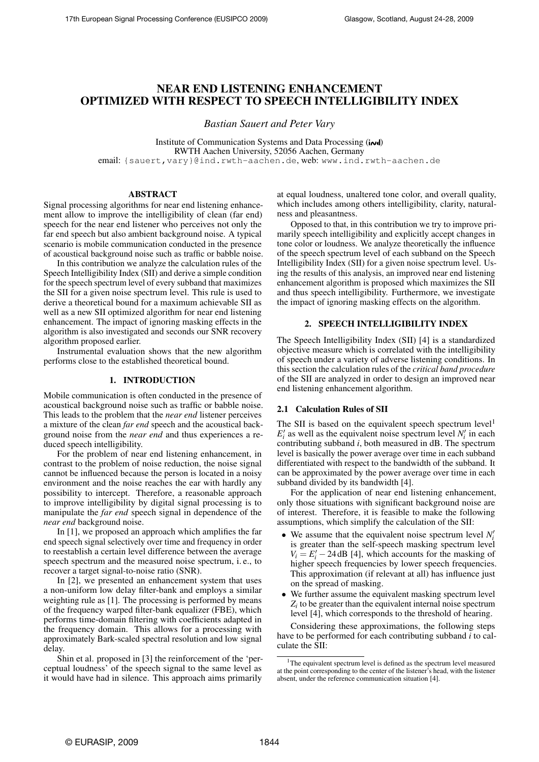# NEAR END LISTENING ENHANCEMENT OPTIMIZED WITH RESPECT TO SPEECH INTELLIGIBILITY INDEX

*Bastian Sauert and Peter Vary*

Institute of Communication Systems and Data Processing (*i*<sub>v</sub>d) RWTH Aachen University, 52056 Aachen, Germany email: {sauert, vary}@ind.rwth-aachen.de, web: www.ind.rwth-aachen.de

# ABSTRACT

Signal processing algorithms for near end listening enhancement allow to improve the intelligibility of clean (far end) speech for the near end listener who perceives not only the far end speech but also ambient background noise. A typical scenario is mobile communication conducted in the presence of acoustical background noise such as traffic or babble noise.

In this contribution we analyze the calculation rules of the Speech Intelligibility Index (SII) and derive a simple condition for the speech spectrum level of every subband that maximizes the SII for a given noise spectrum level. This rule is used to derive a theoretical bound for a maximum achievable SII as well as a new SII optimized algorithm for near end listening enhancement. The impact of ignoring masking effects in the algorithm is also investigated and seconds our SNR recovery algorithm proposed earlier.

Instrumental evaluation shows that the new algorithm performs close to the established theoretical bound.

### 1. INTRODUCTION

Mobile communication is often conducted in the presence of acoustical background noise such as traffic or babble noise. This leads to the problem that the *near end* listener perceives a mixture of the clean *far end* speech and the acoustical background noise from the *near end* and thus experiences a reduced speech intelligibility.

For the problem of near end listening enhancement, in contrast to the problem of noise reduction, the noise signal cannot be influenced because the person is located in a noisy environment and the noise reaches the ear with hardly any possibility to intercept. Therefore, a reasonable approach to improve intelligibility by digital signal processing is to manipulate the *far end* speech signal in dependence of the *near end* background noise.

In [\[1\]](#page-4-0), we proposed an approach which amplifies the far end speech signal selectively over time and frequency in order to reestablish a certain level difference between the average speech spectrum and the measured noise spectrum, i. e., to recover a target signal-to-noise ratio (SNR).

In [\[2\]](#page-4-1), we presented an enhancement system that uses a non-uniform low delay filter-bank and employs a similar weighting rule as [\[1\]](#page-4-0). The processing is performed by means of the frequency warped filter-bank equalizer (FBE), which performs time-domain filtering with coefficients adapted in the frequency domain. This allows for a processing with approximately Bark-scaled spectral resolution and low signal delay.

Shin et al. proposed in [\[3\]](#page-4-2) the reinforcement of the 'perceptual loudness' of the speech signal to the same level as it would have had in silence. This approach aims primarily

at equal loudness, unaltered tone color, and overall quality, which includes among others intelligibility, clarity, naturalness and pleasantness.

Opposed to that, in this contribution we try to improve primarily speech intelligibility and explicitly accept changes in tone color or loudness. We analyze theoretically the influence of the speech spectrum level of each subband on the Speech Intelligibility Index (SII) for a given noise spectrum level. Using the results of this analysis, an improved near end listening enhancement algorithm is proposed which maximizes the SII and thus speech intelligibility. Furthermore, we investigate the impact of ignoring masking effects on the algorithm.

# 2. SPEECH INTELLIGIBILITY INDEX

The Speech Intelligibility Index (SII) [\[4\]](#page-4-3) is a standardized objective measure which is correlated with the intelligibility of speech under a variety of adverse listening conditions. In this section the calculation rules of the *critical band procedure* of the SII are analyzed in order to design an improved near end listening enhancement algorithm.

#### <span id="page-0-1"></span>2.1 Calculation Rules of SII

The SII is based on the equivalent speech spectrum level<sup>[1](#page-0-0)</sup>  $E_i'$  as well as the equivalent noise spectrum level  $N_i'$  in each contributing subband *i*, both measured in dB. The spectrum level is basically the power average over time in each subband differentiated with respect to the bandwidth of the subband. It can be approximated by the power average over time in each subband divided by its bandwidth [\[4\]](#page-4-3).

For the application of near end listening enhancement, only those situations with significant background noise are of interest. Therefore, it is feasible to make the following assumptions, which simplify the calculation of the SII:

- We assume that the equivalent noise spectrum level  $N_i^i$ is greater than the self-speech masking spectrum level  $V_i = E'_i - 24$  dB [\[4\]](#page-4-3), which accounts for the masking of higher speech frequencies by lower speech frequencies. This approximation (if relevant at all) has influence just on the spread of masking.
- We further assume the equivalent masking spectrum level  $Z_i$  to be greater than the equivalent internal noise spectrum level [\[4\]](#page-4-3), which corresponds to the threshold of hearing.

Considering these approximations, the following steps have to be performed for each contributing subband *i* to calculate the SII:

<span id="page-0-0"></span><sup>&</sup>lt;sup>1</sup>The equivalent spectrum level is defined as the spectrum level measured at the point corresponding to the center of the listener's head, with the listener absent, under the reference communication situation [\[4\]](#page-4-3).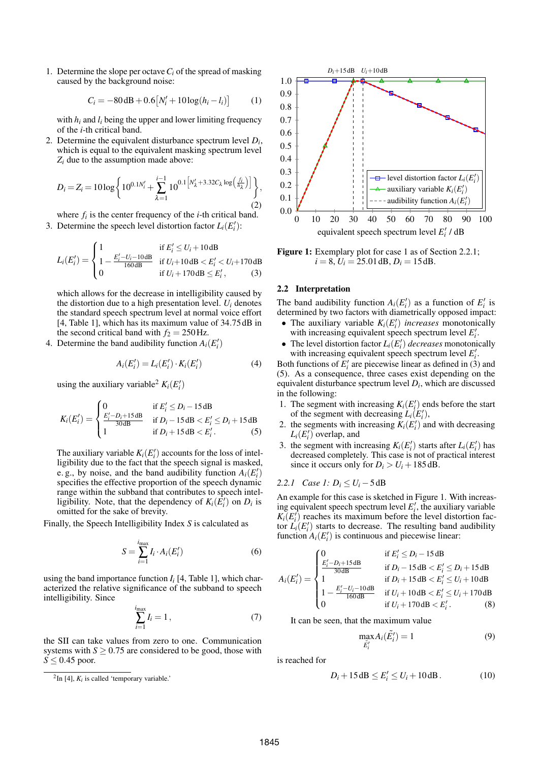1. Determine the slope per octave*C<sup>i</sup>* of the spread of masking caused by the background noise:

<span id="page-1-7"></span>
$$
C_i = -80\,\text{dB} + 0.6[N'_i + 10\log(h_i - l_i)]\tag{1}
$$

with  $h_i$  and  $l_i$  being the upper and lower limiting frequency of the *i*-th critical band.

2. Determine the equivalent disturbance spectrum level  $D_i$ , which is equal to the equivalent masking spectrum level *Z<sup>i</sup>* due to the assumption made above:

<span id="page-1-8"></span>
$$
D_i = Z_i = 10 \log \left\{ 10^{0.1 N'_i} + \sum_{\lambda=1}^{i-1} 10^{0.1 \left[ N'_\lambda + 3.32 C_\lambda \log\left(\frac{f_i}{h_\lambda}\right) \right]} \right\},\tag{2}
$$

where  $f_i$  is the center frequency of the  $i$ -th critical band. 3. Determine the speech level distortion factor  $L_i(E'_i)$ :

$$
L_i(E'_i) = \begin{cases} 1 & \text{if } E'_i \le U_i + 10 \, \text{dB} \\ 1 - \frac{E'_i - U_i - 10 \, \text{dB}}{160 \, \text{dB}} & \text{if } U_i + 10 \, \text{dB} < E'_i < U_i + 170 \, \text{dB} \\ 0 & \text{if } U_i + 170 \, \text{dB} \le E'_i \end{cases}
$$
\n(3)

which allows for the decrease in intelligibility caused by the distortion due to a high presentation level.  $U_i$  denotes the standard speech spectrum level at normal voice effort [\[4,](#page-4-3) Table 1], which has its maximum value of 34.75 dB in the second critical band with  $f_2 = 250$  Hz.

4. Determine the band audibility function  $A_i(E'_i)$ 

$$
A_i(E'_i) = L_i(E'_i) \cdot K_i(E'_i) \tag{4}
$$

using the auxiliary variable<sup>[2](#page-1-0)</sup>  $K_i(E'_i)$ 

$$
K_i(E'_i) = \begin{cases} 0 & \text{if } E'_i \le D_i - 15 \, \text{dB} \\ \frac{E'_i - D_i + 15 \, \text{dB}}{30 \, \text{dB}} & \text{if } D_i - 15 \, \text{dB} < E'_i \le D_i + 15 \, \text{dB} \\ 1 & \text{if } D_i + 15 \, \text{dB} < E'_i. \end{cases} \tag{5}
$$

The auxiliary variable  $K_i(E'_i)$  accounts for the loss of intelligibility due to the fact that the speech signal is masked, e.g., by noise, and the band audibility function  $A_i(E'_i)$ specifies the effective proportion of the speech dynamic range within the subband that contributes to speech intelligibility. Note, that the dependency of  $K_i(\hat{E}_i')$  on  $D_i$  is omitted for the sake of brevity.

Finally, the Speech Intelligibility Index *S* is calculated as

$$
S = \sum_{i=1}^{i_{\text{max}}} I_i \cdot A_i(E'_i) \tag{6}
$$

using the band importance function  $I_i$  [\[4,](#page-4-3) Table 1], which characterized the relative significance of the subband to speech intelligibility. Since

$$
\sum_{i=1}^{i_{\text{max}}} I_i = 1, \qquad (7)
$$

the SII can take values from zero to one. Communication systems with  $S \ge 0.75$  are considered to be good, those with  $S \leq 0.45$  poor.



<span id="page-1-5"></span><span id="page-1-3"></span>Figure [1](#page-1-1): Exemplary plot for case 1 as of Section [2.2.1;](#page-1-2)  $i = 8$ ,  $U_i = 25.01$  dB,  $D_i = 15$  dB.

#### 2.2 Interpretation

The band audibility function  $A_i(E'_i)$  as a function of  $E'_i$  is determined by two factors with diametrically opposed impact:

- The auxiliary variable  $K_i(E'_i)$  *increases* monotonically with increasing equivalent speech spectrum level  $E'_i$ .
- The level distortion factor  $L_i(E_i)$  *decreases* monotonically with increasing equivalent speech spectrum level  $E'_i$ .

Both functions of  $E_i'$  are piecewise linear as defined in [\(3\)](#page-1-3) and [\(5\)](#page-1-4). As a consequence, three cases exist depending on the equivalent disturbance spectrum level *D<sup>i</sup>* , which are discussed in the following:

- <span id="page-1-1"></span>1. The segment with increasing  $K_i(E_i)$  ends before the start of the segment with decreasing  $\hat{L}_i(E'_i)$ ,
- <span id="page-1-6"></span><span id="page-1-4"></span>2. the segments with increasing  $K_i(E_i)$  and with decreasing  $L_i(E'_i)$  overlap, and
- 3. the segment with increasing  $K_i(E'_i)$  starts after  $L_i(E'_i)$  has decreased completely. This case is not of practical interest since it occurs only for  $D_i > U_i + 185$  dB.

## <span id="page-1-2"></span>*2.2.1 Case 1:*  $D_i \le U_i - 5$  dB

An example for this case is sketched in Figure [1.](#page-1-5) With increasing equivalent speech spectrum level  $E'_{i}$ , the auxiliary variable  $K_i(E_i)$  reaches its maximum before the level distortion factor  $L_i(E_i')$  starts to decrease. The resulting band audibility function  $A_i(E'_i)$  is continuous and piecewise linear:

$$
A_i(E'_i) = \begin{cases} 0 & \text{if } E'_i \leq D_i - 15 \, \text{dB} \\ \frac{E'_i - D_i + 15 \, \text{dB}}{30 \, \text{dB}} & \text{if } D_i - 15 \, \text{dB} < E'_i \leq D_i + 15 \, \text{dB} \\ 1 & \text{if } D_i + 15 \, \text{dB} < E'_i \leq U_i + 10 \, \text{dB} \\ 1 - \frac{E'_i - U_i - 10 \, \text{dB}}{160 \, \text{dB}} & \text{if } U_i + 10 \, \text{dB} < E'_i \leq U_i + 170 \, \text{dB} \\ 0 & \text{if } U_i + 170 \, \text{dB} < E'_i. \end{cases} \tag{8}
$$

It can be seen, that the maximum value

$$
\max_{\tilde{E}'_i} A_i(\tilde{E}'_i) = 1 \tag{9}
$$

is reached for

$$
D_i + 15\,\mathrm{dB} \le E'_i \le U_i + 10\,\mathrm{dB} \,. \tag{10}
$$

<span id="page-1-0"></span> ${}^{2}$ In [\[4\]](#page-4-3),  $K_i$  is called 'temporary variable.'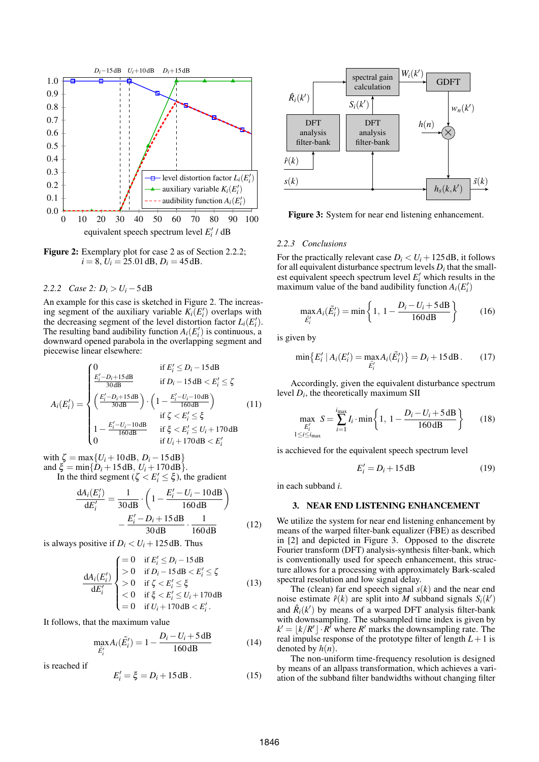

<span id="page-2-1"></span>Figure [2](#page-1-6): Exemplary plot for case 2 as of Section [2.2.2;](#page-2-0)  $i = 8$ ,  $U_i = 25.01$  dB,  $D_i = 45$  dB.

<span id="page-2-0"></span>*2.2.2 Case* [2:](#page-1-6)  $D_i > U_i - 5$  dB

An example for this case is sketched in Figure [2.](#page-2-1) The increasing segment of the auxiliary variable  $K_i(E'_i)$  overlaps with the decreasing segment of the level distortion factor  $L_i(E'_i)$ . The resulting band audibility function  $A_i(E'_i)$  is continuous, a downward opened parabola in the overlapping segment and piecewise linear elsewhere:

$$
A_{i}(E'_{i}) = \begin{cases} 0 & \text{if } E'_{i} \leq D_{i} - 15 \, \text{dB} \\ \frac{E'_{i} - D_{i} + 15 \, \text{dB}}{30 \, \text{dB}} & \text{if } D_{i} - 15 \, \text{dB} < E'_{i} \leq \zeta \\ \left(\frac{E'_{i} - D_{i} + 15 \, \text{dB}}{30 \, \text{dB}}\right) \cdot \left(1 - \frac{E'_{i} - U_{i} - 10 \, \text{dB}}{160 \, \text{dB}}\right) & \text{(11)} \\ \text{if } \zeta < E'_{i} \leq \xi \\ 1 - \frac{E'_{i} - U_{i} - 10 \, \text{dB}}{160 \, \text{dB}} & \text{if } \xi < E'_{i} \leq U_{i} + 170 \, \text{dB} \\ 0 & \text{if } U_{i} + 170 \, \text{dB} < E'_{i} \end{cases}
$$

with  $\zeta = \max\{U_i + 10 \, \text{dB}, D_i - 15 \, \text{dB}\}\$ and  $\xi = \min\{D_i + 15 \, dB, U_i + 170 \, dB\}.$ 

In the third segment ( $\zeta < E'_i \le \xi$ ), the gradient

$$
\frac{dA_i(E'_i)}{dE'_i} = \frac{1}{30 \text{ dB}} \cdot \left( 1 - \frac{E'_i - U_i - 10 \text{ dB}}{160 \text{ dB}} \right) - \frac{E'_i - D_i + 15 \text{ dB}}{30 \text{ dB}} \cdot \frac{1}{160 \text{ dB}}
$$
(12)

is always positive if  $D_i < U_i + 125$  dB. Thus

$$
\frac{dA_i(E'_i)}{dE'_i} \begin{cases}\n= 0 & \text{if } E'_i \le D_i - 15 \, \text{dB} \\
> 0 & \text{if } D_i - 15 \, \text{dB} < E'_i \le \zeta \\
> 0 & \text{if } \zeta < E'_i \le \xi \\
< 0 & \text{if } \xi < E'_i \le U_i + 170 \, \text{dB} \\
= 0 & \text{if } U_i + 170 \, \text{dB} < E'_i.\n\end{cases} \tag{13}
$$

It follows, that the maximum value

$$
\max_{\tilde{E}'_i} A_i(\tilde{E}'_i) = 1 - \frac{D_i - U_i + 5\,\text{dB}}{160\,\text{dB}}\tag{14}
$$

is reached if

$$
E'_i = \xi = D_i + 15 \, \text{dB} \,. \tag{15}
$$



<span id="page-2-2"></span>Figure 3: System for near end listening enhancement.

## *2.2.3 Conclusions*

For the practically relevant case  $D_i < U_i + 125$  dB, it follows for all equivalent disturbance spectrum levels  $D_i$  that the smallest equivalent speech spectrum level  $E'_i$  which results in the maximum value of the band audibility function  $A_i(E'_i)$ 

$$
\max_{\tilde{E}_i'} A_i(\tilde{E}_i') = \min \left\{ 1, \ 1 - \frac{D_i - U_i + 5 \, \text{dB}}{160 \, \text{dB}} \right\} \tag{16}
$$

is given by

$$
\min \{ E'_i \mid A_i(E'_i) = \max_{\tilde{E}'_i} A_i(\tilde{E}'_i) \} = D_i + 15 \, \text{dB} \,. \tag{17}
$$

Accordingly, given the equivalent disturbance spectrum level  $D_i$ , the theoretically maximum SII

<span id="page-2-4"></span>
$$
\max_{\substack{E'_i\\1 \le i \le i_{\text{max}}}} S = \sum_{i=1}^{i_{\text{max}}} I_i \cdot \min\left\{1, 1 - \frac{D_i - U_i + 5\,\text{dB}}{160\,\text{dB}}\right\} \tag{18}
$$

is acchieved for the equivalent speech spectrum level

<span id="page-2-3"></span>
$$
E_i' = D_i + 15 \,\text{dB} \tag{19}
$$

in each subband *i*.

## 3. NEAR END LISTENING ENHANCEMENT

We utilize the system for near end listening enhancement by means of the warped filter-bank equalizer (FBE) as described in [\[2\]](#page-4-1) and depicted in Figure [3.](#page-2-2) Opposed to the discrete Fourier transform (DFT) analysis-synthesis filter-bank, which is conventionally used for speech enhancement, this structure allows for a processing with approximately Bark-scaled spectral resolution and low signal delay.

The (clean) far end speech signal *s*(*k*) and the near end noise estimate  $\hat{r}(k)$  are split into *M* subband signals  $S_i(k')$ and  $\hat{R}_i(k')$  by means of a warped DFT analysis filter-bank with downsampling. The subsampled time index is given by  $k' = \lfloor k/R' \rfloor \cdot R'$  where *R*<sup>'</sup> marks the downsampling rate. The real impulse response of the prototype filter of length  $L+1$  is denoted by  $h(n)$ .

The non-uniform time-frequency resolution is designed by means of an allpass transformation, which achieves a variation of the subband filter bandwidths without changing filter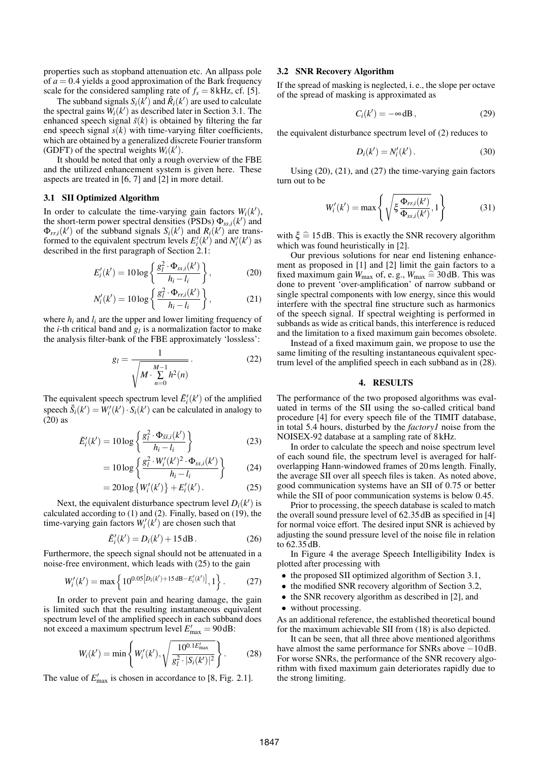properties such as stopband attenuation etc. An allpass pole of  $a = 0.4$  yields a good approximation of the Bark frequency scale for the considered sampling rate of  $f_s = 8$  kHz, cf. [\[5\]](#page-4-4).

The subband signals  $S_i(k')$  and  $\hat{R}_i(k')$  are used to calculate the spectral gains  $W_i(k')$  as described later in Section [3.1.](#page-3-0) The enhanced speech signal  $\tilde{s}(k)$  is obtained by filtering the far end speech signal  $s(k)$  with time-varying filter coefficients, which are obtained by a generalized discrete Fourier transform (GDFT) of the spectral weights  $W_i(k')$ .

It should be noted that only a rough overview of the FBE and the utilized enhancement system is given here. These aspects are treated in [\[6,](#page-4-5) [7\]](#page-4-6) and [\[2\]](#page-4-1) in more detail.

## <span id="page-3-0"></span>3.1 SII Optimized Algorithm

In order to calculate the time-varying gain factors  $W_i(k')$ , the short-term power spectral densities (PSDs)  $\Phi_{ss,i}(k')$  and  $\Phi_{rr,i}(k')$  of the subband signals  $S_i(k')$  and  $R_i(k')$  are transformed to the equivalent spectrum levels  $E'_{i}(k')$  and  $N'_{i}(k')$  as described in the first paragraph of Section [2.1:](#page-0-1)

$$
E'_{i}(k') = 10\log\left\{\frac{g_{l}^{2} \cdot \Phi_{ss,i}(k')}{h_{i} - l_{i}}\right\},\qquad(20)
$$

$$
N_i'(k') = 10\log\left\{\frac{g_i^2 \cdot \Phi_{rr,i}(k')}{h_i - l_i}\right\},\tag{21}
$$

where  $h_i$  and  $l_i$  are the upper and lower limiting frequency of the *i*-th critical band and  $g_l$  is a normalization factor to make the analysis filter-bank of the FBE approximately 'lossless':

$$
g_l = \frac{1}{\sqrt{M \cdot \sum_{n=0}^{M-1} h^2(n)}}.
$$
 (22)

The equivalent speech spectrum level  $\tilde{E}'_i(k')$  of the amplified speech  $\tilde{S}_i(k') = W'_i(k') \cdot S_i(k')$  can be calculated in analogy to [\(20\)](#page-3-1) as

$$
\tilde{E}'_i(k') = 10\log\left\{\frac{g_i^2 \cdot \Phi_{\tilde{s}\tilde{s},i}(k')}{h_i - l_i}\right\}
$$
\n(23)

$$
=10\log\left\{\frac{g_l^2\cdot W_i'(k')^2\cdot\Phi_{ss,i}(k')}{h_i-l_i}\right\}\qquad(24)
$$

$$
= 20 \log \{W'_i(k')\} + E'_i(k'). \tag{25}
$$

Next, the equivalent disturbance spectrum level  $D_i(k')$  is calculated according to [\(1\)](#page-1-7) and [\(2\)](#page-1-8). Finally, based on [\(19\)](#page-2-3), the time-varying gain factors  $W_i'(k')$  are chosen such that

$$
\tilde{E}'_i(k') = D_i(k') + 15 \, \text{dB} \,. \tag{26}
$$

Furthermore, the speech signal should not be attenuated in a noise-free environment, which leads with [\(25\)](#page-3-2) to the gain

<span id="page-3-4"></span>
$$
W'_{i}(k') = \max\left\{10^{0.05\left[D_{i}(k') + 15\,\text{dB} - E'_{i}(k')\right]}, 1\right\}.
$$
 (27)

In order to prevent pain and hearing damage, the gain is limited such that the resulting instantaneous equivalent spectrum level of the amplified speech in each subband does not exceed a maximum spectrum level  $E'_{\text{max}} = 90 \text{ dB}$ :

<span id="page-3-5"></span>
$$
W_i(k') = \min\left\{W'_i(k'), \sqrt{\frac{10^{0.1E'_{\text{max}}}}{g_i^2 \cdot |S_i(k')|^2}}\right\}.
$$
 (28)

The value of  $E'_{\text{max}}$  is chosen in accordance to [\[8,](#page-4-7) Fig. 2.1].

#### <span id="page-3-6"></span>3.2 SNR Recovery Algorithm

If the spread of masking is neglected, i. e., the slope per octave of the spread of masking is approximated as

$$
C_i(k') = -\infty \, \mathrm{dB}\,,\tag{29}
$$

the equivalent disturbance spectrum level of [\(2\)](#page-1-8) reduces to

$$
D_i(k') = N'_i(k'). \tag{30}
$$

Using [\(20\)](#page-3-1), [\(21\)](#page-3-3), and [\(27\)](#page-3-4) the time-varying gain factors turn out to be

$$
W'_{i}(k') = \max\left\{\sqrt{\xi \frac{\Phi_{rr,i}(k')}{\Phi_{ss,i}(k')}}, 1\right\}
$$
(31)

with  $\xi \approx 15$  dB. This is exactly the SNR recovery algorithm which was found heuristically in [\[2\]](#page-4-1).

<span id="page-3-3"></span><span id="page-3-1"></span>Our previous solutions for near end listening enhancement as proposed in [\[1\]](#page-4-0) and [\[2\]](#page-4-1) limit the gain factors to a fixed maximum gain  $W_{\text{max}}$  of, e.g.,  $W_{\text{max}} \cong 30 \text{ dB}$ . This was done to prevent 'over-amplification' of narrow subband or single spectral components with low energy, since this would interfere with the spectral fine structure such as harmonics of the speech signal. If spectral weighting is performed in subbands as wide as critical bands, this interference is reduced and the limitation to a fixed maximum gain becomes obsolete.

Instead of a fixed maximum gain, we propose to use the same limiting of the resulting instantaneous equivalent spectrum level of the amplified speech in each subband as in [\(28\)](#page-3-5).

## 4. RESULTS

The performance of the two proposed algorithms was evaluated in terms of the SII using the so-called critical band procedure [\[4\]](#page-4-3) for every speech file of the TIMIT database, in total 5.4 hours, disturbed by the *factory1* noise from the NOISEX-92 database at a sampling rate of 8 kHz.

In order to calculate the speech and noise spectrum level of each sound file, the spectrum level is averaged for halfoverlapping Hann-windowed frames of 20ms length. Finally, the average SII over all speech files is taken. As noted above, good communication systems have an SII of 0.75 or better while the SII of poor communication systems is below 0.45.

<span id="page-3-2"></span>Prior to processing, the speech database is scaled to match the overall sound pressure level of 62.35 dB as specified in [\[4\]](#page-4-3) for normal voice effort. The desired input SNR is achieved by adjusting the sound pressure level of the noise file in relation to 62.35 dB.

In Figure [4](#page-4-8) the average Speech Intelligibility Index is plotted after processing with

- the proposed SII optimized algorithm of Section [3.1,](#page-3-0)
- the modified SNR recovery algorithm of Section [3.2,](#page-3-6)
- the SNR recovery algorithm as described in [\[2\]](#page-4-1), and
- without processing.

As an additional reference, the established theoretical bound for the maximum achievable SII from [\(18\)](#page-2-4) is also depicted.

It can be seen, that all three above mentioned algorithms have almost the same performance for SNRs above −10 dB. For worse SNRs, the performance of the SNR recovery algorithm with fixed maximum gain deteriorates rapidly due to the strong limiting.